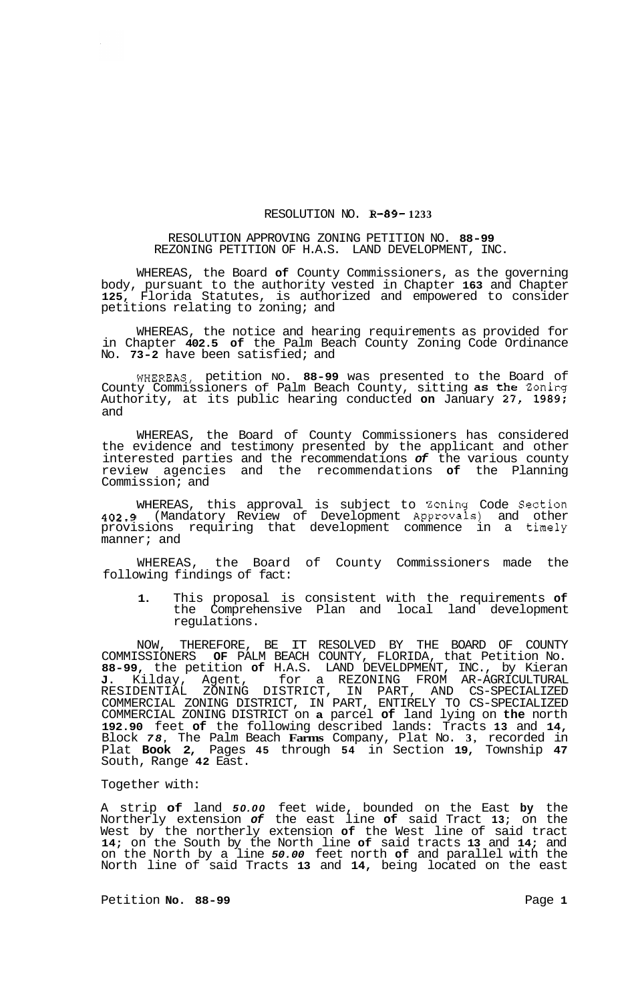## RESOLUTION NO. **R-89- 1233**

## RESOLUTION APPROVING ZONING PETITION NO. **88-99**  REZONING PETITION OF H.A.S. LAND DEVELOPMENT, INC.

WHEREAS, the Board **of** County Commissioners, as the governing body, pursuant to the authority vested in Chapter **163** and Chapter **125,** Florida Statutes, is authorized and empowered to consider petitions relating to zoning; and

WHEREAS, the notice and hearing requirements as provided for in Chapter **402.5 of** the Palm Beach County Zoning Code Ordinance No. **73-2** have been satisfied; and

WHEREAS, petition NO. **88-99** was presented to the Board of County Commissioners of Palm Beach County, sitting as the Zoning Authority, at its public hearing conducted **on** January **27, 1989:**  and

WHEREAS, the Board of County Commissioners has considered the evidence and testimony presented by the applicant and other interested parties and the recommendations *of* the various county review agencies and the recommendations **of** the Planning Commission; and

WHEREAS, this approval is subject to Zoning Code Section **402.9** (Mandatory Review of Development Approvals) and other provisions requiring that development commence in a timely manner; and

WHEREAS, the Board of County Commissioners made the following findings of fact:

**1.** This proposal is consistent with the requirements **of**  the Comprehensive Plan and local land development regulations.

NOW, THEREFORE, BE IT RESOLVED BY THE BOARD OF COUNTY COMMISSIONERS **OF** PALM BEACH COUNTY, FLORIDA, that Petition No. **88-99,** the petition **of** H.A.S. LAND DEVELDPMENT, INC., by Kieran **J.** Kilday, Agent, for a REZONING FROM AR-AGRICULTURAL RESIDENTIAL ZONING DISTRICT, IN PART, AND CS-SPECIALIZED COMMERCIAL ZONING DISTRICT, IN PART, ENTIRELY TO CS-SPECIALIZED COMMERCIAL ZONING DISTRICT on **a** parcel **of** land lying on **the** north **192.90** feet **of** the following described lands: Tracts **13** and **14,**  Block *78,* The Palm Beach **Farms** Company, Plat No. **3,** recorded in Plat **Book 2,** Pages **45** through **54** in Section **19,** Township **47**  South, Range **42** East.

## Together with:

A strip **of** land *50.00* feet wide, bounded on the East **by** the Northerly extension *of* the east line **of** said Tract **13;** on the West by the northerly extension **of** the West line of said tract **14;** on the South by the North line **of** said tracts **13** and **14;** and on the North by a line *50.00* feet north **of** and parallel with the North line of said Tracts **13** and **14,** being located on the east

Petition **No. 88-99** Page **1**